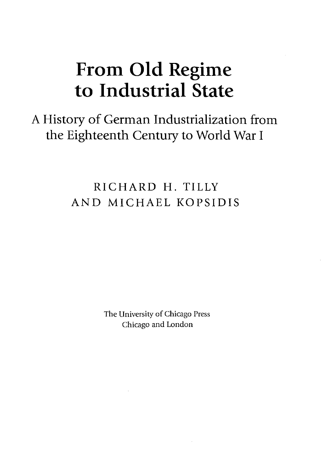# **From Old Regime to Industrial State**

A History of German Industrialization from the Eighteenth Century to World War <sup>I</sup>

> RICHARD H. TILLY AND MICHAEL KOPSIDIS

> > The University of Chicago Press Chicago and London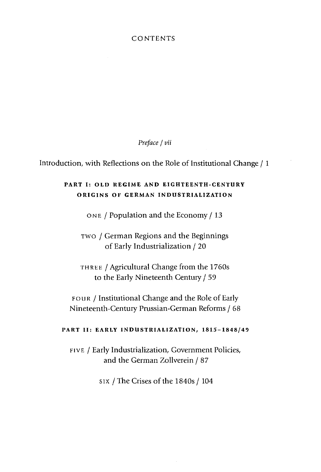### **CONTENTS**

*Preface I vii*

Introduction, with Reflections on the Role of Institutional Change / 1

## **PART I: OLD REGIME AND EIGHTEENTH-CENTURY ORIGINS OF GERMAN INDUSTRIALIZATION**

one / Population and the Economy / <sup>13</sup>

two *I* German Regions and the Beginnings of Early Industrialization / 20

three *I* Agricultural Change from the 1760s to the Early Nineteenth Century / 59

four / Institutional Change and the Role of Early Nineteenth-Century Prussian-German Reforms / 68

#### **PART II: EARLY INDUSTRIALIZATION, 1815-1848/49**

five / Early Industrialization, Government Policies, and the German Zollverein / 87

six / The Crises of the 1840s / 104